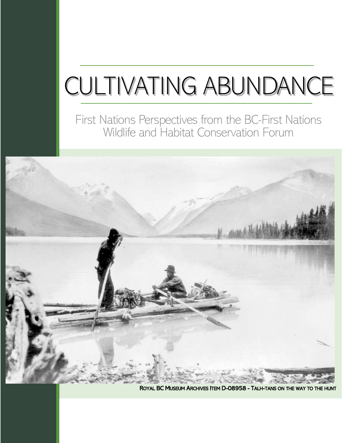# CULTIVATING ABUNDANCE

First Nations Perspectives from the BC-First Nations Wildlife and Habitat Conservation Forum



ROYAL BC MUSEUM ARCHIVES ITEM D-08958 - TALH-TANS ON THE WAY TO THE HUNT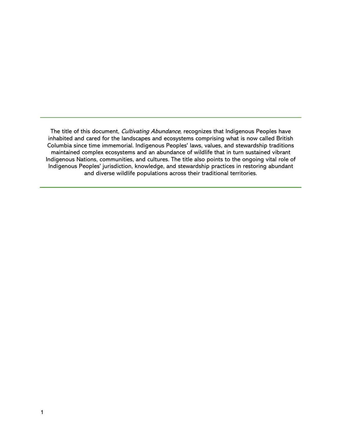The title of this document, Cultivating Abundance, recognizes that Indigenous Peoples have inhabited and cared for the landscapes and ecosystems comprising what is now called British Columbia since time immemorial. Indigenous Peoples' laws, values, and stewardship traditions maintained complex ecosystems and an abundance of wildlife that in turn sustained vibrant Indigenous Nations, communities, and cultures. The title also points to the ongoing vital role of Indigenous Peoples' jurisdiction, knowledge, and stewardship practices in restoring abundant and diverse wildlife populations across their traditional territories.

1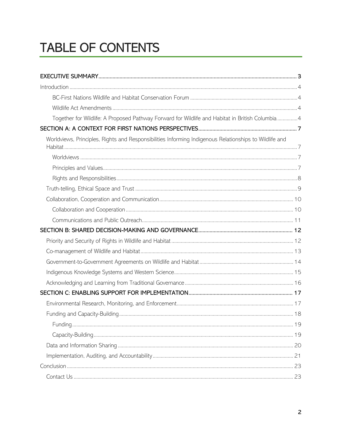# **TABLE OF CONTENTS**

| Together for Wildlife: A Proposed Pathway Forward for Wildlife and Habitat in British Columbia4        |  |
|--------------------------------------------------------------------------------------------------------|--|
|                                                                                                        |  |
| Worldviews, Principles, Rights and Responsibilities Informing Indigenous Relationships to Wildlife and |  |
|                                                                                                        |  |
|                                                                                                        |  |
|                                                                                                        |  |
|                                                                                                        |  |
|                                                                                                        |  |
|                                                                                                        |  |
|                                                                                                        |  |
|                                                                                                        |  |
|                                                                                                        |  |
|                                                                                                        |  |
|                                                                                                        |  |
|                                                                                                        |  |
|                                                                                                        |  |
|                                                                                                        |  |
|                                                                                                        |  |
|                                                                                                        |  |
|                                                                                                        |  |
|                                                                                                        |  |
|                                                                                                        |  |
|                                                                                                        |  |
|                                                                                                        |  |
|                                                                                                        |  |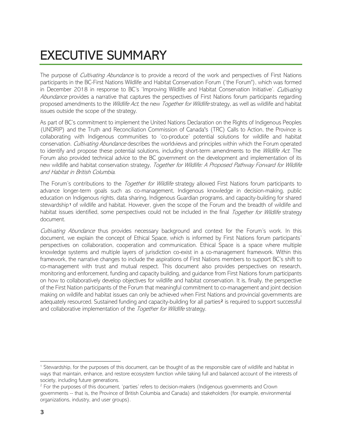# <span id="page-3-0"></span>EXECUTIVE SUMMARY

The purpose of *Cultivating Abundance* is to provide a record of the work and perspectives of First Nations participants in the BC-First Nations Wildlife and Habitat Conservation Forum ('the Forum'), which was formed in December 2018 in response to BC's 'Improving Wildlife and Habitat Conservation Initiative'. Cultivating Abundance provides a narrative that captures the perspectives of First Nations forum participants regarding proposed amendments to the Wildlife Act, the new Together for Wildlife strategy, as well as wildlife and habitat issues outside the scope of the strategy.

As part of BC's commitment to implement the United Nations Declaration on the Rights of Indigenous Peoples (UNDRIP) and the Truth and Reconciliation Commission of Canada's (TRC) Calls to Action, the Province is collaborating with Indigenous communities to 'co-produce' potential solutions for wildlife and habitat conservation. Cultivating Abundance describes the worldviews and principles within which the Forum operated to identify and propose these potential solutions, including short-term amendments to the Wildlife Act. The Forum also provided technical advice to the BC government on the development and implementation of its new wildlife and habitat conservation strategy, Together for Wildlife: A Proposed Pathway Forward for Wildlife and Habitat in British Columbia.

The Forum's contributions to the *Together for Wildlife* strategy allowed First Nations forum participants to advance longer-term goals such as co-management, Indigenous knowledge in decision-making, public education on Indigenous rights, data sharing, Indigenous Guardian programs, and capacity-building for shared stewardship<sup>[1](#page-3-1)</sup> of wildlife and habitat. However, given the scope of the Forum and the breadth of wildlife and habitat issues identified, some perspectives could not be included in the final Together for Wildlife strategy document.

Cultivating Abundance thus provides necessary background and context for the Forum's work. In this document, we explain the concept of Ethical Space, which is informed by First Nations forum participants' perspectives on collaboration, cooperation and communication. Ethical Space is a space where multiple knowledge systems and multiple layers of jurisdiction co-exist in a co-management framework. Within this framework, the narrative changes to include the aspirations of First Nations members to support BC's shift to co-management with trust and mutual respect. This document also provides perspectives on research, monitoring and enforcement, funding and capacity building, and guidance from First Nations forum participants on how to collaboratively develop objectives for wildlife and habitat conservation. It is, finally, the perspective of the First Nation participants of the Forum that meaningful commitment to co-management and joint decision making on wildlife and habitat issues can only be achieved when First Nations and provincial governments are adequately resourced. Sustained funding and capacity-building for all parties<sup>[2](#page-3-2)</sup> is required to support successful and collaborative implementation of the Together for Wildlife strategy.

<span id="page-3-1"></span><sup>1</sup> Stewardship, for the purposes of this document, can be thought of as the responsible care of wildlife and habitat in ways that maintain, enhance, and restore ecosystem function while taking full and balanced account of the interests of society, including future generations.

<span id="page-3-2"></span><sup>&</sup>lt;sup>2</sup> For the purposes of this document, 'parties' refers to decision-makers (Indigenous governments and Crown governments -- that is, the Province of British Columbia and Canada) and stakeholders (for example, environmental organizations, industry, and user groups).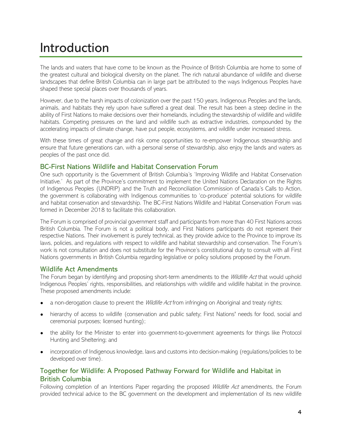# <span id="page-4-0"></span>Introduction

The lands and waters that have come to be known as the Province of British Columbia are home to some of the greatest cultural and biological diversity on the planet. The rich natural abundance of wildlife and diverse landscapes that define British Columbia can in large part be attributed to the ways Indigenous Peoples have shaped these special places over thousands of years.

However, due to the harsh impacts of colonization over the past 150 years, Indigenous Peoples and the lands, animals, and habitats they rely upon have suffered a great deal. The result has been a steep decline in the ability of First Nations to make decisions over their homelands, including the stewardship of wildlife and wildlife habitats. Competing pressures on the land and wildlife such as extractive industries, compounded by the accelerating impacts of climate change, have put people, ecosystems, and wildlife under increased stress.

With these times of great change and risk come opportunities to re-empower Indigenous stewardship and ensure that future generations can, with a personal sense of stewardship, also enjoy the lands and waters as peoples of the past once did.

#### <span id="page-4-1"></span>BC-First Nations Wildlife and Habitat Conservation Forum

One such opportunity is the Government of British Columbia's 'Improving Wildlife and Habitat Conservation Initiative.' As part of the Province's commitment to implement the United Nations Declaration on the Rights of Indigenous Peoples (UNDRIP) and the Truth and Reconciliation Commission of Canada's Calls to Action, the government is collaborating with Indigenous communities to 'co-produce' potential solutions for wildlife and habitat conservation and stewardship. The BC-First Nations Wildlife and Habitat Conservation Forum was formed in December 2018 to facilitate this collaboration.

The Forum is comprised of provincial government staff and participants from more than 40 First Nations across British Columbia. The Forum is not a political body, and First Nations participants do not represent their respective Nations. Their involvement is purely technical, as they provide advice to the Province to improve its laws, policies, and regulations with respect to wildlife and habitat stewardship and conservation. The Forum's work is not consultation and does not substitute for the Province's constitutional duty to consult with all First Nations governments in British Columbia regarding legislative or policy solutions proposed by the Forum.

#### <span id="page-4-2"></span>Wildlife Act Amendments

The Forum began by identifying and proposing short-term amendments to the Wildlife Act that would uphold Indigenous Peoples' rights, responsibilities, and relationships with wildlife and wildlife habitat in the province. These proposed amendments include:

- a non-derogation clause to prevent the *Wildlife Act* from infringing on Aboriginal and treaty rights;
- hierarchy of access to wildlife (conservation and public safety; First Nations' needs for food, social and ceremonial purposes; licensed hunting);
- the ability for the Minister to enter into government-to-government agreements for things like Protocol Hunting and Sheltering; and
- incorporation of Indigenous knowledge, laws and customs into decision-making (regulations/policies to be developed over time).

#### <span id="page-4-3"></span>Together for Wildlife: A Proposed Pathway Forward for Wildlife and Habitat in British Columbia

Following completion of an Intentions Paper regarding the proposed Wildlife Act amendments, the Forum provided technical advice to the BC government on the development and implementation of its new wildlife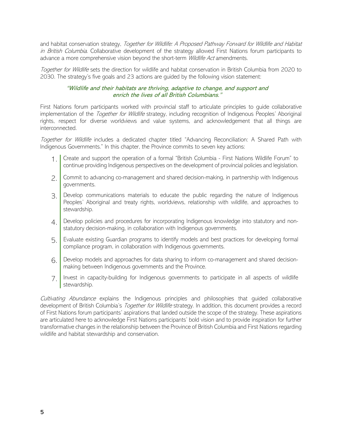and habitat conservation strategy, Together for Wildlife: A Proposed Pathway Forward for Wildlife and Habitat in British Columbia. Collaborative development of the strategy allowed First Nations forum participants to advance a more comprehensive vision beyond the short-term Wildlife Act amendments.

Together for Wildlife sets the direction for wildlife and habitat conservation in British Columbia from 2020 to 2030. The strategy's five goals and 23 actions are guided by the following vision statement:

#### "Wildlife and their habitats are thriving, adaptive to change, and support and enrich the lives of all British Columbians."

First Nations forum participants worked with provincial staff to articulate principles to guide collaborative implementation of the Together for Wildlife strategy, including recognition of Indigenous Peoples' Aboriginal rights, respect for diverse worldviews and value systems, and acknowledgement that all things are interconnected.

Together for Wildlife includes a dedicated chapter titled "Advancing Reconciliation: A Shared Path with Indigenous Governments." In this chapter, the Province commits to seven key actions:

- 1. Create and support the operation of a formal "British Columbia First Nations Wildlife Forum" to continue providing Indigenous perspectives on the development of provincial policies and legislation.
- 2. Commit to advancing co-management and shared decision-making, in partnership with Indigenous governments.
- 3. Develop communications materials to educate the public regarding the nature of Indigenous Peoples' Aboriginal and treaty rights, worldviews, relationship with wildlife, and approaches to stewardship.
- 4. Develop policies and procedures for incorporating Indigenous knowledge into statutory and nonstatutory decision-making, in collaboration with Indigenous governments.
- 5. Evaluate existing Guardian programs to identify models and best practices for developing formal compliance program, in collaboration with Indigenous governments.
- 6. Develop models and approaches for data sharing to inform co-management and shared decisionmaking between Indigenous governments and the Province.
- 7. Invest in capacity-building for Indigenous governments to participate in all aspects of wildlife stewardship.

Cultivating Abundance explains the Indigenous principles and philosophies that quided collaborative development of British Columbia's Together for Wildlife strategy. In addition, this document provides a record of First Nations forum participants' aspirations that landed outside the scope of the strategy. These aspirations are articulated here to acknowledge First Nations participants' bold vision and to provide inspiration for further transformative changes in the relationship between the Province of British Columbia and First Nations regarding wildlife and habitat stewardship and conservation.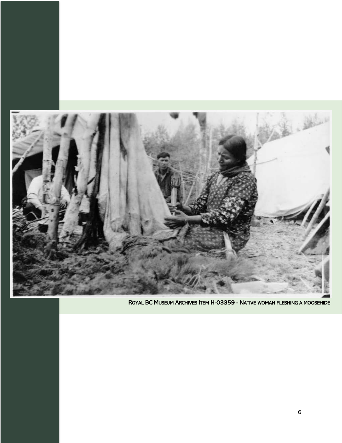

ROYAL BC MUSEUM ARCHIVES ITEM H-03359 - NATIVE WOMAN FLESHING A MOOSEHIDE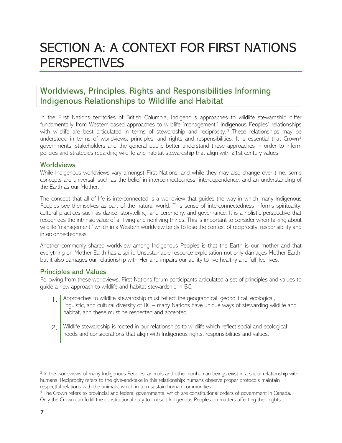# <span id="page-7-0"></span>SECTION A: A CONTEXT FOR FIRST NATIONS **PERSPECTIVES**

## <span id="page-7-1"></span>Worldviews, Principles, Rights and Responsibilities Informing Indigenous Relationships to Wildlife and Habitat

In the First Nations territories of British Columbia, Indigenous approaches to wildlife stewardship differ fundamentally from Western-based approaches to wildlife 'management.' Indigenous Peoples' relationships with wildlife are best articulated in terms of stewardship and reciprocity.<sup>[3](#page-7-4)</sup> These relationships may be understood in terms of worldviews, principles, and rights and responsibilities. It is essential that Crown<sup>[4](#page-7-5)</sup> governments, stakeholders and the general public better understand these approaches in order to inform policies and strategies regarding wildlife and habitat stewardship that align with 21st century values.

#### <span id="page-7-2"></span>**Worldviews**

While Indigenous worldviews vary amongst First Nations, and while they may also change over time, some concepts are universal, such as the belief in interconnectedness, interdependence, and an understanding of the Earth as our Mother.

The concept that all of life is interconnected is a worldview that guides the way in which many Indigenous Peoples see themselves as part of the natural world. This sense of interconnectedness informs spirituality; cultural practices such as dance, storytelling, and ceremony; and governance. It is a holistic perspective that recognizes the intrinsic value of all living and nonliving things. This is important to consider when talking about wildlife 'management,' which in a Western worldview tends to lose the context of reciprocity, responsibility and interconnectedness.

Another commonly shared worldview among Indigenous Peoples is that the Earth is our mother and that everything on Mother Earth has a spirit. Unsustainable resource exploitation not only damages Mother Earth, but it also damages our relationship with Her and impairs our ability to live healthy and fulfilled lives.

#### <span id="page-7-3"></span>Principles and Values

Following from these worldviews, First Nations forum participants articulated a set of principles and values to guide a new approach to wildlife and habitat stewardship in BC:

- 1. Approaches to wildlife stewardship must reflect the geographical, geopolitical, ecological, linguistic, and cultural diversity of BC – many Nations have unique ways of stewarding wildlife and habitat, and these must be respected and accepted.
- 2. Wildlife stewardship is rooted in our relationships to wildlife which reflect social and ecological needs and considerations that align with Indigenous rights, responsibilities and values.

<span id="page-7-4"></span><sup>&</sup>lt;sup>3</sup> In the worldviews of many Indigenous Peoples, animals and other nonhuman beings exist in a social relationship with humans. Reciprocity refers to the give-and-take in this relationship: humans observe proper protocols maintain respectful relations with the animals, which in turn sustain human communities.

<span id="page-7-5"></span><sup>4</sup> The Crown refers to provincial and federal governments, which are constitutional orders of government in Canada. Only the Crown can fulfill the constitutional duty to consult Indigenous Peoples on matters affecting their rights.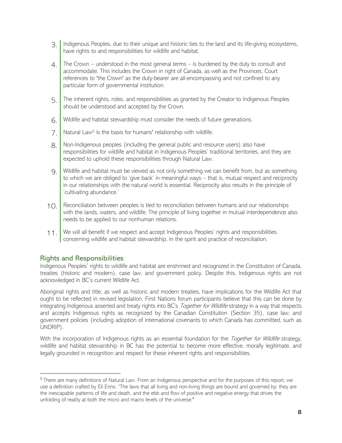- 3. Indigenous Peoples, due to their unique and historic ties to the land and its life-giving ecosystems, have rights to and responsibilities for wildlife and habitat.
- 4. The Crown understood in the most general terms is burdened by the duty to consult and accommodate. This includes the Crown in right of Canada, as well as the Provinces. Court references to 'the Crown' as the duty-bearer are all-encompassing and not confined to any particular form of governmental institution.
- $5.$  The inherent rights, roles, and responsibilities as granted by the Creator to Indigenous Peoples should be understood and accepted by the Crown.
- 6. Wildlife and habitat stewardship must consider the needs of future generations.
- $7.$  Natural Law<sup>[5](#page-8-1)</sup> is the basis for humans' relationship with wildlife.
- 8. Non-Indigenous peoples (including the general public and resource users) also have responsibilities for wildlife and habitat in Indigenous Peoples' traditional territories, and they are expected to uphold these responsibilities through Natural Law.
- 9. Wildlife and habitat must be viewed as not only something we can benefit from, but as something to which we are obliged to 'give back' in meaningful ways – that is, mutual respect and reciprocity in our relationships with the natural world is essential. Reciprocity also results in the principle of 'cultivating abundance.'
- 10. Reconciliation between peoples is tied to reconciliation between humans and our relationships with the lands, waters, and wildlife. The principle of living together in mutual interdependence also needs to be applied to our nonhuman relations.
- 11. We will all benefit if we respect and accept Indigenous Peoples' rights and responsibilities concerning wildlife and habitat stewardship, in the spirit and practice of reconciliation.

#### <span id="page-8-0"></span>Rights and Responsibilities

Indigenous Peoples' rights to wildlife and habitat are enshrined and recognized in the Constitution of Canada, treaties (historic and modern), case law, and government policy. Despite this, Indigenous rights are not acknowledged in BC's current Wildlife Act.

Aboriginal rights and title, as well as historic and modern treaties, have implications for the Wildlife Act that ought to be reflected in revised legislation. First Nations forum participants believe that this can be done by integrating Indigenous asserted and treaty rights into BC's Together for Wildlife strategy in a way that respects and accepts Indigenous rights as recognized by the Canadian Constitution (Section 35), case law, and government policies (including adoption of international covenants to which Canada has committed, such as UNDRIP).

With the incorporation of Indigenous rights as an essential foundation for the Together for Wildlife strategy, wildlife and habitat stewardship in BC has the potential to become more effective, morally legitimate, and legally grounded in recognition and respect for these inherent rights and responsibilities.

<span id="page-8-1"></span><sup>5</sup> There are many definitions of Natural Law. From an Indigenous perspective and for the purposes of this report, we use a definition crafted by Eli Enns: "The laws that all living and non-living things are bound and governed by; they are the inescapable patterns of life and death, and the ebb and flow of positive and negative energy that drives the unfolding of reality at both the micro and macro levels of the universe."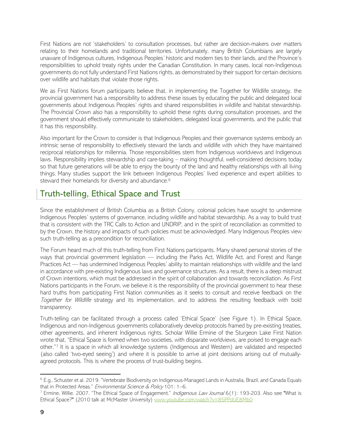First Nations are not 'stakeholders' to consultation processes, but rather are decision-makers over matters relating to their homelands and traditional territories. Unfortunately, many British Columbians are largely unaware of Indigenous cultures, Indigenous Peoples' historic and modern ties to their lands, and the Province's responsibilities to uphold treaty rights under the Canadian Constitution. In many cases, local non-Indigenous governments do not fully understand First Nations rights, as demonstrated by their support for certain decisions over wildlife and habitats that violate those rights.

We as First Nations forum participants believe that, in implementing the Together for Wildlife strategy, the provincial government has a responsibility to address these issues by educating the public and delegated local governments about Indigenous Peoples' rights and shared responsibilities in wildlife and habitat stewardship. The Provincial Crown also has a responsibility to uphold these rights during consultation processes, and the government should effectively communicate to stakeholders, delegated local governments, and the public that it has this responsibility.

Also important for the Crown to consider is that Indigenous Peoples and their governance systems embody an intrinsic sense of responsibility to effectively steward the lands and wildlife with which they have maintained reciprocal relationships for millennia. Those responsibilities stem from Indigenous worldviews and Indigenous laws. Responsibility implies stewardship and care-taking – making thoughtful, well-considered decisions today so that future generations will be able to enjoy the bounty of the land and healthy relationships with all living things. Many studies support the link between Indigenous Peoples' lived experience and expert abilities to steward their homelands for diversity and abundance.<sup>6</sup>

# <span id="page-9-0"></span>Truth-telling, Ethical Space and Trust

Since the establishment of British Columbia as a British Colony, colonial policies have sought to undermine Indigenous Peoples' systems of governance, including wildlife and habitat stewardship. As a way to build trust that is consistent with the TRC Calls to Action and UNDRIP, and in the spirit of reconciliation as committed to by the Crown, the history and impacts of such policies must be acknowledged. Many Indigenous Peoples view such truth-telling as a precondition for reconciliation.

The Forum heard much of this truth-telling from First Nations participants. Many shared personal stories of the ways that provincial government legislation — including the Parks Act, Wildlife Act, and Forest and Range Practices Act — has undermined Indigenous Peoples' ability to maintain relationships with wildlife and the land in accordance with pre-existing Indigenous laws and governance structures. As a result, there is a deep mistrust of Crown intentions, which must be addressed in the spirit of collaboration and towards reconciliation. As First Nations participants in the Forum, we believe it is the responsibility of the provincial government to hear these hard truths from participating First Nation communities as it seeks to consult and receive feedback on the Together for Wildlife strategy and its implementation, and to address the resulting feedback with bold transparency.

Truth-telling can be facilitated through a process called 'Ethical Space' (see Figure 1). In Ethical Space, Indigenous and non-Indigenous governments collaboratively develop protocols framed by pre-existing treaties, other agreements, and inherent Indigenous rights. Scholar Willie Ermine of the Sturgeon Lake First Nation wrote that, "Ethical Space is formed when two societies, with disparate worldviews, are poised to engage each other."[7](#page-9-2) It is a space in which all knowledge systems (Indigenous and Western) are validated and respected (also called 'two-eyed seeing') and where it is possible to arrive at joint decisions arising out of mutuallyagreed protocols. This is where the process of trust-building begins.

<span id="page-9-1"></span><sup>6</sup> E.g., Schuster et al. 2019. "Vertebrate Biodiversity on Indigenous-Managed Lands in Australia, Brazil, and Canada Equals that in Protected Areas." Environmental Science & Policy 101: 1-6.

<span id="page-9-2"></span><sup>&</sup>lt;sup>7</sup> Ermine, Willie. 2007. "The Ethical Space of Engagement." *Indigenous Law Journal* 6(1): 193-203. Also see "What is Ethical Space?" (2010 talk at McMaster University) [www.youtube.com/watch?v=85PPdUE8Mb0](http://www.youtube.com/watch?v=85PPdUE8Mb0)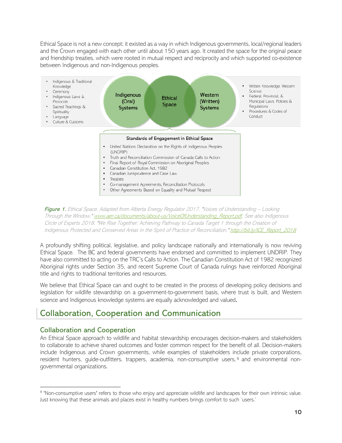Ethical Space is not a new concept; it existed as a way in which Indigenous governments, local/regional leaders and the Crown engaged with each other until about 150 years ago. It created the space for the original peace and friendship treaties, which were rooted in mutual respect and reciprocity and which supported co-existence between Indigenous and non-Indigenous peoples.



Figure 1. Ethical Space. Adapted from Alberta Energy Regulator 2017. "Voices of Understanding - Looking Through the Window.[" www.aer.ca/documents/about-us/VoiceOfUnderstanding\\_Report.pdf.](http://www.aer.ca/documents/about-us/VoiceOfUnderstanding_Report.pdf) See also Indigenous Circle of Experts 2018. "We Rise Together: Achieving Pathway to Canada Target 1 through the Creation of Indigenous Protected and Conserved Areas in the Spirit of Practice of Reconciliation.[" http://bit.ly/ICE\\_Report\\_2018](http://bit.ly/ICE_Report_2018)

A profoundly shifting political, legislative, and policy landscape nationally and internationally is now reviving Ethical Space. The BC and federal governments have endorsed and committed to implement UNDRIP. They have also committed to acting on the TRC's Calls to Action. The Canadian Constitution Act of 1982 recognized Aboriginal rights under Section 35, and recent Supreme Court of Canada rulings have reinforced Aboriginal title and rights to traditional territories and resources.

We believe that Ethical Space can and ought to be created in the process of developing policy decisions and legislation for wildlife stewardship on a government-to-government basis, where trust is built, and Western science and Indigenous knowledge systems are equally acknowledged and valued.

### <span id="page-10-0"></span>Collaboration, Cooperation and Communication

#### <span id="page-10-1"></span>Collaboration and Cooperation

An Ethical Space approach to wildlife and habitat stewardship encourages decision-makers and stakeholders to collaborate to achieve shared outcomes and foster common respect for the benefit of all. Decision-makers include Indigenous and Crown governments, while examples of stakeholders include private corporations, resident hunters, guide-outfitters, trappers, academia, non-consumptive users, [8](#page-10-2) and environmental nongovernmental organizations.

<span id="page-10-2"></span><sup>&</sup>lt;sup>8</sup> 'Non-consumptive users' refers to those who enjoy and appreciate wildlife and landscapes for their own intrinsic value. Just knowing that these animals and places exist in healthy numbers brings comfort to such 'users.'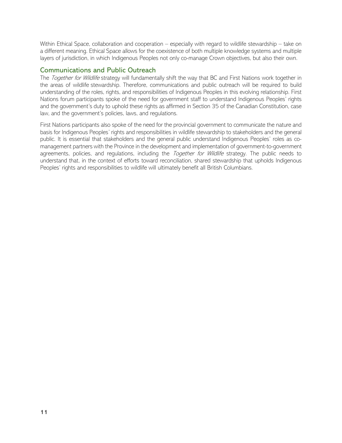Within Ethical Space, collaboration and cooperation – especially with regard to wildlife stewardship – take on a different meaning. Ethical Space allows for the coexistence of both multiple knowledge systems and multiple layers of jurisdiction, in which Indigenous Peoples not only co-manage Crown objectives, but also their own.

#### <span id="page-11-0"></span>Communications and Public Outreach

The Together for Wildlife strategy will fundamentally shift the way that BC and First Nations work together in the areas of wildlife stewardship. Therefore, communications and public outreach will be required to build understanding of the roles, rights, and responsibilities of Indigenous Peoples in this evolving relationship. First Nations forum participants spoke of the need for government staff to understand Indigenous Peoples' rights and the government's duty to uphold these rights as affirmed in Section 35 of the Canadian Constitution, case law, and the government's policies, laws, and regulations.

First Nations participants also spoke of the need for the provincial government to communicate the nature and basis for Indigenous Peoples' rights and responsibilities in wildlife stewardship to stakeholders and the general public. It is essential that stakeholders and the general public understand Indigenous Peoples' roles as comanagement partners with the Province in the development and implementation of government-to-government agreements, policies, and regulations, including the Together for Wildlife strategy. The public needs to understand that, in the context of efforts toward reconciliation, shared stewardship that upholds Indigenous Peoples' rights and responsibilities to wildlife will ultimately benefit all British Columbians.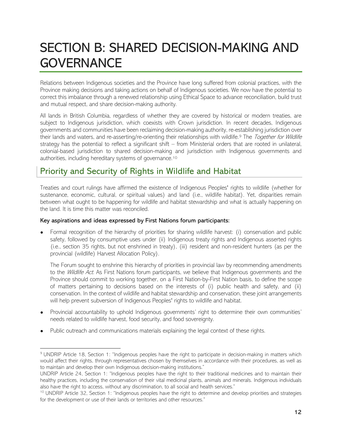# <span id="page-12-0"></span>SECTION B: SHARED DECISION-MAKING AND **GOVERNANCE**

Relations between Indigenous societies and the Province have long suffered from colonial practices, with the Province making decisions and taking actions on behalf of Indigenous societies. We now have the potential to correct this imbalance through a renewed relationship using Ethical Space to advance reconciliation, build trust and mutual respect, and share decision-making authority.

All lands in British Columbia, regardless of whether they are covered by historical or modern treaties, are subject to Indigenous jurisdiction, which coexists with Crown jurisdiction. In recent decades, Indigenous governments and communities have been reclaiming decision-making authority, re-establishing jurisdiction over their lands and waters, and re-asserting/re-orienting their relationships with wildlife.<sup>[9](#page-12-2)</sup> The *Together for Wildlife* strategy has the potential to reflect a significant shift – from Ministerial orders that are rooted in unilateral, colonial-based jurisdiction to shared decision-making and jurisdiction with Indigenous governments and authorities, including hereditary systems of governance[.10](#page-12-3)

# <span id="page-12-1"></span>Priority and Security of Rights in Wildlife and Habitat

Treaties and court rulings have affirmed the existence of Indigenous Peoples' rights to wildlife (whether for sustenance, economic, cultural, or spiritual values) and land (i.e., wildlife habitat). Yet, disparities remain between what ought to be happening for wildlife and habitat stewardship and what is actually happening on the land. It is time this matter was reconciled.

#### Key aspirations and ideas expressed by First Nations forum participants:

Formal recognition of the hierarchy of priorities for sharing wildlife harvest: (i) conservation and public safety, followed by consumptive uses under (ii) Indigenous treaty rights and Indigenous asserted rights (i.e., section 35 rights, but not enshrined in treaty), (iii) resident and non-resident hunters (as per the provincial (wildlife) Harvest Allocation Policy).

The Forum sought to enshrine this hierarchy of priorities in provincial law by recommending amendments to the *Wildlife Act*. As First Nations forum participants, we believe that Indigenous governments and the Province should commit to working together, on a First Nation-by-First Nation basis, to define the scope of matters pertaining to decisions based on the interests of (i) public health and safety, and (ii) conservation. In the context of wildlife and habitat stewardship and conservation, these joint arrangements will help prevent subversion of Indigenous Peoples' rights to wildlife and habitat.

- Provincial accountability to uphold Indigenous governments' right to determine their own communities' needs related to wildlife harvest, food security, and food sovereignty.
- Public outreach and communications materials explaining the legal context of these rights.

<span id="page-12-2"></span><sup>&</sup>lt;sup>9</sup> UNDRIP Article 18, Section 1: "Indigenous peoples have the right to participate in decision-making in matters which would affect their rights, through representatives chosen by themselves in accordance with their procedures, as well as to maintain and develop their own Indigenous decision-making institutions."

UNDRIP Article 24, Section 1: "Indigenous peoples have the right to their traditional medicines and to maintain their healthy practices, including the conservation of their vital medicinal plants, animals and minerals. Indigenous individuals also have the right to access, without any discrimination, to all social and health services."

<span id="page-12-3"></span><sup>&</sup>lt;sup>10</sup> UNDRIP Article 32, Section 1: "Indigenous peoples have the right to determine and develop priorities and strategies for the development or use of their lands or territories and other resources."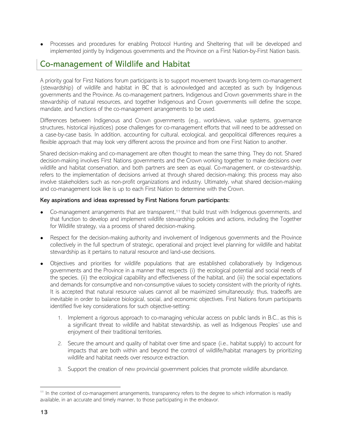Processes and procedures for enabling Protocol Hunting and Sheltering that will be developed and implemented jointly by Indigenous governments and the Province on a First Nation-by-First Nation basis.

## <span id="page-13-0"></span>Co-management of Wildlife and Habitat

A priority goal for First Nations forum participants is to support movement towards long-term co-management (stewardship) of wildlife and habitat in BC that is acknowledged and accepted as such by Indigenous governments and the Province. As co-management partners, Indigenous and Crown governments share in the stewardship of natural resources, and together Indigenous and Crown governments will define the scope, mandate, and functions of the co-management arrangements to be used.

Differences between Indigenous and Crown governments (e.g., worldviews, value systems, governance structures, historical injustices) pose challenges for co-management efforts that will need to be addressed on a case-by-case basis. In addition, accounting for cultural, ecological, and geopolitical differences requires a flexible approach that may look very different across the province and from one First Nation to another.

Shared decision-making and co-management are often thought to mean the same thing. They do not. Shared decision-making involves First Nations governments and the Crown working together to make decisions over wildlife and habitat conservation, and both partners are seen as equal. Co-management, or co-stewardship, refers to the implementation of decisions arrived at through shared decision-making; this process may also involve stakeholders such as non-profit organizations and industry. Ultimately, what shared decision-making and co-management look like is up to each First Nation to determine with the Crown.

#### Key aspirations and ideas expressed by First Nations forum participants:

- Co-management arrangements that are transparent,<sup>[11](#page-13-1)</sup> that build trust with Indigenous governments, and that function to develop and implement wildlife stewardship policies and actions, including the Together for Wildlife strategy, via a process of shared decision-making.
- Respect for the decision-making authority and involvement of Indigenous governments and the Province collectively in the full spectrum of strategic, operational and project level planning for wildlife and habitat stewardship as it pertains to natural resource and land-use decisions.
- Objectives and priorities for wildlife populations that are established collaboratively by Indigenous governments and the Province in a manner that respects (i) the ecological potential and social needs of the species, (ii) the ecological capability and effectiveness of the habitat, and (iii) the social expectations and demands for consumptive and non-consumptive values to society consistent with the priority of rights. It is accepted that natural resource values cannot all be maximized simultaneously; thus, tradeoffs are inevitable in order to balance biological, social, and economic objectives. First Nations forum participants identified five key considerations for such objective-setting:
	- 1. Implement a rigorous approach to co-managing vehicular access on public lands in B.C., as this is a significant threat to wildlife and habitat stewardship, as well as Indigenous Peoples' use and enjoyment of their traditional territories.
	- 2. Secure the amount and quality of habitat over time and space (i.e., habitat supply) to account for impacts that are both within and beyond the control of wildlife/habitat managers by prioritizing wildlife and habitat needs over resource extraction.
	- 3. Support the creation of new provincial government policies that promote wildlife abundance.

<span id="page-13-1"></span><sup>&</sup>lt;sup>11</sup> In the context of co-management arrangements, transparency refers to the degree to which information is readily available, in an accurate and timely manner, to those participating in the endeavor.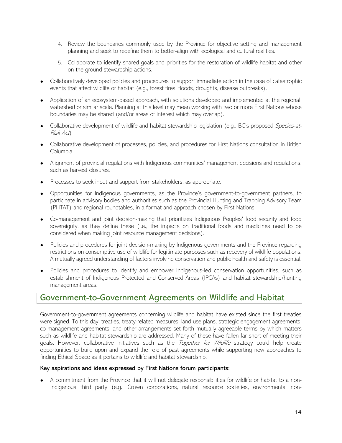- 4. Review the boundaries commonly used by the Province for objective setting and management planning and seek to redefine them to better-align with ecological and cultural realities.
- 5. Collaborate to identify shared goals and priorities for the restoration of wildlife habitat and other on-the-ground stewardship actions.
- Collaboratively developed policies and procedures to support immediate action in the case of catastrophic events that affect wildlife or habitat (e.g., forest fires, floods, droughts, disease outbreaks).
- Application of an ecosystem-based approach, with solutions developed and implemented at the regional, watershed or similar scale. Planning at this level may mean working with two or more First Nations whose boundaries may be shared (and/or areas of interest which may overlap).
- Collaborative development of wildlife and habitat stewardship legislation (e.g., BC's proposed Species-at-Risk Act)
- Collaborative development of processes, policies, and procedures for First Nations consultation in British Columbia.
- Alignment of provincial regulations with Indigenous communities' management decisions and regulations, such as harvest closures.
- Processes to seek input and support from stakeholders, as appropriate.
- Opportunities for Indigenous governments, as the Province's government-to-government partners, to participate in advisory bodies and authorities such as the Provincial Hunting and Trapping Advisory Team (PHTAT) and regional roundtables, in a format and approach chosen by First Nations.
- Co-management and joint decision-making that prioritizes Indigenous Peoples' food security and food sovereignty, as they define these (i.e., the impacts on traditional foods and medicines need to be considered when making joint resource management decisions).
- Policies and procedures for joint decision-making by Indigenous governments and the Province regarding restrictions on consumptive use of wildlife for legitimate purposes such as recovery of wildlife populations. A mutually agreed understanding of factors involving conservation and public health and safety is essential.
- Policies and procedures to identify and empower Indigenous-led conservation opportunities, such as establishment of Indigenous Protected and Conserved Areas (IPCAs) and habitat stewardship/hunting management areas.

### <span id="page-14-0"></span>Government-to-Government Agreements on Wildlife and Habitat

Government-to-government agreements concerning wildlife and habitat have existed since the first treaties were signed. To this day, treaties, treaty-related measures, land use plans, strategic engagement agreements, co-management agreements, and other arrangements set forth mutually agreeable terms by which matters such as wildlife and habitat stewardship are addressed. Many of these have fallen far short of meeting their goals. However, collaborative initiatives such as the Together for Wildlife strategy could help create opportunities to build upon and expand the role of past agreements while supporting new approaches to finding Ethical Space as it pertains to wildlife and habitat stewardship.

#### Key aspirations and ideas expressed by First Nations forum participants:

● A commitment from the Province that it will not delegate responsibilities for wildlife or habitat to a non-Indigenous third party (e.g., Crown corporations, natural resource societies, environmental non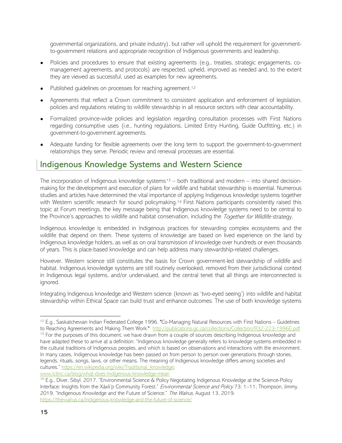governmental organizations, and private industry), but rather will uphold the requirement for governmentto-government relations and appropriate recognition of Indigenous governments and leadership.

- Policies and procedures to ensure that existing agreements (e.g., treaties, strategic engagements, comanagement agreements, and protocols) are respected, upheld, improved as needed and, to the extent they are viewed as successful, used as examples for new agreements.
- Published guidelines on processes for reaching agreement.<sup>[12](#page-15-1)</sup>
- Agreements that reflect a Crown commitment to consistent application and enforcement of legislation, policies and regulations relating to wildlife stewardship in all resource sectors with clear accountability.
- Formalized province-wide policies and legislation regarding consultation processes with First Nations regarding consumptive uses (i.e., hunting regulations, Limited Entry Hunting, Guide Outfitting, etc.) in government-to-government agreements.
- Adequate funding for flexible agreements over the long term to support the government-to-government relationships they serve. Periodic review and renewal processes are essential.

### <span id="page-15-0"></span>Indigenous Knowledge Systems and Western Science

The incorporation of Indigenous knowledge systems<sup>[13](#page-15-2)</sup> – both traditional and modern – into shared decisionmaking for the development and execution of plans for wildlife and habitat stewardship is essential. Numerous studies and articles have determined the vital importance of applying Indigenous knowledge systems together with Western scientific research for sound policymaking.<sup>[14](#page-15-3)</sup> First Nations participants consistently raised this topic at Forum meetings, the key message being that Indigenous knowledge systems need to be central to the Province's approaches to wildlife and habitat conservation, including the Together for Wildlife strategy.

Indigenous knowledge is embedded in Indigenous practices for stewarding complex ecosystems and the wildlife that depend on them. These systems of knowledge are based on lived experience on the land by Indigenous knowledge holders, as well as on oral transmission of knowledge over hundreds or even thousands of years. This is place-based knowledge and can help address many stewardship-related challenges.

However, Western science still constitutes the basis for Crown government-led stewardship of wildlife and habitat. Indigenous knowledge systems are still routinely overlooked, removed from their jurisdictional context in Indigenous legal systems, and/or undervalued, and the central tenet that all things are interconnected is ignored.

Integrating Indigenous knowledge and Western science (known as 'two-eyed seeing') into wildlife and habitat stewardship within Ethical Space can build trust and enhance outcomes. The use of both knowledge systems

[www.ictinc.ca/blog/what-does-Indigenous-knowledge-mean](http://www.ictinc.ca/blog/what-does-Indigenous-knowledge-mean)

<span id="page-15-1"></span> $12$  E.g., Saskatchewan Indian Federated College 1996. "Co-Managing Natural Resources with First Nations – Guidelines to Reaching Agreements and Making Them Work." <http://publications.gc.ca/collections/Collection/R32-223-1996E.pdf>

<span id="page-15-2"></span><sup>&</sup>lt;sup>13</sup> For the purposes of this document, we have drawn from a couple of sources describing Indigenous knowledge and have adapted these to arrive at a definition: "Indigenous knowledge generally refers to knowledge systems embedded in the cultural traditions of Indigenous peoples, and which is based on observations and interactions with the environment. In many cases, Indigenous knowledge has been passed on from person to person over generations through stories, legends, rituals, songs, laws, or other means. The meaning of Indigenous knowledge differs among societies and cultures." https://en.wikipedia.org/wiki/Traditional knowledge;

<span id="page-15-3"></span><sup>14</sup> E.g., Diver, Sibyl. 2017. "Environmental Science & Policy Negotiating Indigenous Knowledge at the Science-Policy Interface: Insights from the Xáxli'p Community Forest." Environmental Science and Policy 73: 1–11; Thompson, Jimmy. 2019. "Indigenous Knowledge and the Future of Science." The Walrus, August 13, 2019. <https://thewalrus.ca/Indigenous-knowledge-and-the-future-of-science/>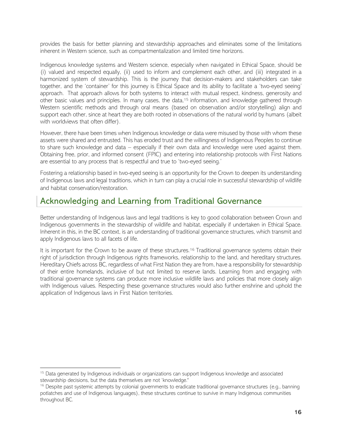provides the basis for better planning and stewardship approaches and eliminates some of the limitations inherent in Western science, such as compartmentalization and limited time horizons.

Indigenous knowledge systems and Western science, especially when navigated in Ethical Space, should be (i) valued and respected equally, (ii) used to inform and complement each other, and (iii) integrated in a harmonized system of stewardship. This is the journey that decision-makers and stakeholders can take together, and the 'container' for this journey is Ethical Space and its ability to facilitate a 'two-eyed seeing' approach. That approach allows for both systems to interact with mutual respect, kindness, generosity and other basic values and principles. In many cases, the data,<sup>[15](#page-16-1)</sup> information, and knowledge gathered through Western scientific methods and through oral means (based on observation and/or storytelling) align and support each other, since at heart they are both rooted in observations of the natural world by humans (albeit with worldviews that often differ).

However, there have been times when Indigenous knowledge or data were misused by those with whom these assets were shared and entrusted. This has eroded trust and the willingness of Indigenous Peoples to continue to share such knowledge and data – especially if their own data and knowledge were used against them. Obtaining free, prior, and informed consent (FPIC) and entering into relationship protocols with First Nations are essential to any process that is respectful and true to 'two-eyed seeing.'

Fostering a relationship based in two-eyed seeing is an opportunity for the Crown to deepen its understanding of Indigenous laws and legal traditions, which in turn can play a crucial role in successful stewardship of wildlife and habitat conservation/restoration.

# <span id="page-16-0"></span>Acknowledging and Learning from Traditional Governance

Better understanding of Indigenous laws and legal traditions is key to good collaboration between Crown and Indigenous governments in the stewardship of wildlife and habitat, especially if undertaken in Ethical Space. Inherent in this, in the BC context, is an understanding of traditional governance structures, which transmit and apply Indigenous laws to all facets of life.

It is important for the Crown to be aware of these structures.<sup>[16](#page-16-2)</sup> Traditional governance systems obtain their right of jurisdiction through Indigenous rights frameworks, relationship to the land, and hereditary structures. Hereditary Chiefs across BC, regardless of what First Nation they are from, have a responsibility for stewardship of their entire homelands, inclusive of but not limited to reserve lands. Learning from and engaging with traditional governance systems can produce more inclusive wildlife laws and policies that more closely align with Indigenous values. Respecting these governance structures would also further enshrine and uphold the application of Indigenous laws in First Nation territories.

<span id="page-16-1"></span><sup>&</sup>lt;sup>15</sup> Data generated by Indigenous individuals or organizations can support Indigenous knowledge and associated stewardship decisions, but the data themselves are not 'knowledge.'

<span id="page-16-2"></span><sup>&</sup>lt;sup>16</sup> Despite past systemic attempts by colonial governments to eradicate traditional governance structures (e.g., banning potlatches and use of Indigenous languages), these structures continue to survive in many Indigenous communities throughout BC.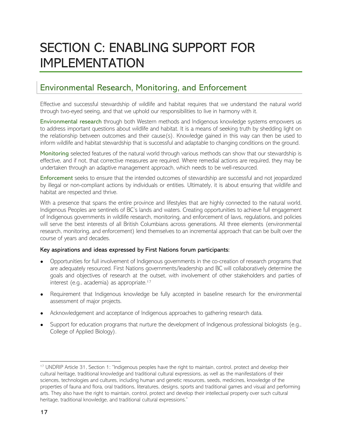# <span id="page-17-0"></span>SECTION C: ENABLING SUPPORT FOR IMPLEMENTATION

### <span id="page-17-1"></span>Environmental Research, Monitoring, and Enforcement

Effective and successful stewardship of wildlife and habitat requires that we understand the natural world through two-eyed seeing, and that we uphold our responsibilities to live in harmony with it.

Environmental research through both Western methods and Indigenous knowledge systems empowers us to address important questions about wildlife and habitat. It is a means of seeking truth by shedding light on the relationship between outcomes and their cause(s). Knowledge gained in this way can then be used to inform wildlife and habitat stewardship that is successful and adaptable to changing conditions on the ground.

Monitoring selected features of the natural world through various methods can show that our stewardship is effective, and if not, that corrective measures are required. Where remedial actions are required, they may be undertaken through an adaptive management approach, which needs to be well-resourced.

Enforcement seeks to ensure that the intended outcomes of stewardship are successful and not jeopardized by illegal or non-compliant actions by individuals or entities. Ultimately, it is about ensuring that wildlife and habitat are respected and thrive.

With a presence that spans the entire province and lifestyles that are highly connected to the natural world, Indigenous Peoples are sentinels of BC's lands and waters. Creating opportunities to achieve full engagement of Indigenous governments in wildlife research, monitoring, and enforcement of laws, regulations, and policies will serve the best interests of all British Columbians across generations. All three elements (environmental research, monitoring, and enforcement) lend themselves to an incremental approach that can be built over the course of years and decades.

#### Key aspirations and ideas expressed by First Nations forum participants:

- Opportunities for full involvement of Indigenous governments in the co-creation of research programs that are adequately resourced. First Nations governments/leadership and BC will collaboratively determine the goals and objectives of research at the outset, with involvement of other stakeholders and parties of interest (e.g., academia) as appropriate.[17](#page-17-2)
- Requirement that Indigenous knowledge be fully accepted in baseline research for the environmental assessment of major projects.
- Acknowledgement and acceptance of Indigenous approaches to gathering research data.
- Support for education programs that nurture the development of Indigenous professional biologists (e.g., College of Applied Biology).

<span id="page-17-2"></span><sup>&</sup>lt;sup>17</sup> UNDRIP Article 31, Section 1: "Indigenous peoples have the right to maintain, control, protect and develop their cultural heritage, traditional knowledge and traditional cultural expressions, as well as the manifestations of their sciences, technologies and cultures, including human and genetic resources, seeds, medicines, knowledge of the properties of fauna and flora, oral traditions, literatures, designs, sports and traditional games and visual and performing arts. They also have the right to maintain, control, protect and develop their intellectual property over such cultural heritage, traditional knowledge, and traditional cultural expressions."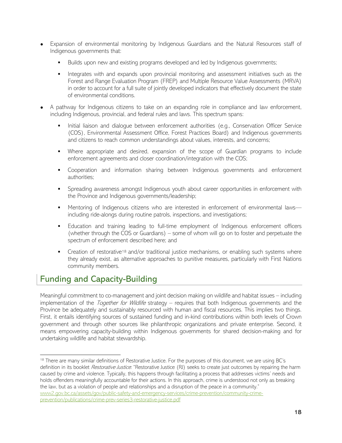- Expansion of environmental monitoring by Indigenous Guardians and the Natural Resources staff of Indigenous governments that:
	- Builds upon new and existing programs developed and led by Indigenous governments;
	- Integrates with and expands upon provincial monitoring and assessment initiatives such as the Forest and Range Evaluation Program (FREP) and Multiple Resource Value Assessments (MRVA) in order to account for a full suite of jointly developed indicators that effectively document the state of environmental conditions.
- A pathway for Indigenous citizens to take on an expanding role in compliance and law enforcement, including Indigenous, provincial, and federal rules and laws. This spectrum spans:
	- Initial liaison and dialogue between enforcement authorities (e.g., Conservation Officer Service (COS), Environmental Assessment Office, Forest Practices Board) and Indigenous governments and citizens to reach common understandings about values, interests, and concerns;
	- Where appropriate and desired, expansion of the scope of Guardian programs to include enforcement agreements and closer coordination/integration with the COS;
	- Cooperation and information sharing between Indigenous governments and enforcement authorities;
	- Spreading awareness amongst Indigenous youth about career opportunities in enforcement with the Province and Indigenous governments/leadership;
	- Mentoring of Indigenous citizens who are interested in enforcement of environmental laws including ride-alongs during routine patrols, inspections, and investigations;
	- Education and training leading to full-time employment of Indigenous enforcement officers (whether through the COS or Guardians) – some of whom will go on to foster and perpetuate the spectrum of enforcement described here; and
	- Creation of restorative<sup>[18](#page-18-1)</sup> and/or traditional justice mechanisms, or enabling such systems where they already exist, as alternative approaches to punitive measures, particularly with First Nations community members.

# <span id="page-18-0"></span>Funding and Capacity-Building

Meaningful commitment to co-management and joint decision making on wildlife and habitat issues – including implementation of the *Together for Wildlife* strategy – requires that both Indigenous governments and the Province be adequately and sustainably resourced with human and fiscal resources. This implies two things. First, it entails identifying sources of sustained funding and in-kind contributions within both levels of Crown government and through other sources like philanthropic organizations and private enterprise. Second, it means empowering capacity-building within Indigenous governments for shared decision-making and for undertaking wildlife and habitat stewardship.

<span id="page-18-1"></span><sup>&</sup>lt;sup>18</sup> There are many similar definitions of Restorative Justice. For the purposes of this document, we are using BC's definition in its booklet Restorative Justice. "Restorative Justice (RJ) seeks to create just outcomes by repairing the harm caused by crime and violence. Typically, this happens through facilitating a process that addresses victims' needs and holds offenders meaningfully accountable for their actions. In this approach, crime is understood not only as breaking the law, but as a violation of people and relationships and a disruption of the peace in a community." [www2.gov.bc.ca/assets/gov/public-safety-and-emergency-services/crime-prevention/community-crime](file:///C:%5CUsers%5Cuser%5CDocuments%5CIisaak-Olam%5Cprojects%20-%20main%5C2.%20Indigenous%20Wildlife%20Habitat%20Forum%5CBC%20Wildlife%20Strategy%5CCultivating%20Abundance%20final%20round%5Cwww2.gov.bc.ca%5Cassets%5Cgov%5Cpublic-safety-and-emergency-services%5Ccrime-prevention%5Ccommunity-crime-prevention%5Cpublications%5Ccrime-prev-series3-restorative-justice.pdf)[prevention/publications/crime-prev-series3-restorative-justice.pdf](file:///C:%5CUsers%5Cuser%5CDocuments%5CIisaak-Olam%5Cprojects%20-%20main%5C2.%20Indigenous%20Wildlife%20Habitat%20Forum%5CBC%20Wildlife%20Strategy%5CCultivating%20Abundance%20final%20round%5Cwww2.gov.bc.ca%5Cassets%5Cgov%5Cpublic-safety-and-emergency-services%5Ccrime-prevention%5Ccommunity-crime-prevention%5Cpublications%5Ccrime-prev-series3-restorative-justice.pdf)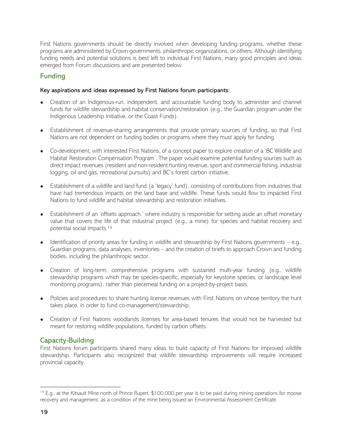First Nations governments should be directly involved when developing funding programs, whether these programs are administered by Crown governments, philanthropic organizations, or others. Although identifying funding needs and potential solutions is best left to individual First Nations, many good principles and ideas emerged from Forum discussions and are presented below.

#### <span id="page-19-0"></span>Funding

#### Key aspirations and ideas expressed by First Nations forum participants:

- Creation of an Indigenous-run, independent, and accountable funding body to administer and channel funds for wildlife stewardship and habitat conservation/restoration (e.g., the Guardian program under the Indigenous Leadership Initiative, or the Coast Funds).
- Establishment of revenue-sharing arrangements that provide primary sources of funding, so that First Nations are not dependent on funding bodies or programs where they must apply for funding.
- Co-development, with interested First Nations, of a concept paper to explore creation of a 'BC Wildlife and Habitat Restoration Compensation Program'. The paper would examine potential funding sources such as direct impact revenues (resident and non-resident hunting revenue, sport and commercial fishing, industrial logging, oil and gas, recreational pursuits) and BC's forest carbon initiative.
- Establishment of a wildlife and land fund (a 'legacy' fund), consisting of contributions from industries that have had tremendous impacts on the land base and wildlife. These funds would flow to impacted First Nations to fund wildlife and habitat stewardship and restoration initiatives.
- Establishment of an 'offsets approach,' where industry is responsible for setting aside an offset monetary value that covers the life of that industrial project (e.g., a mine) for species and habitat recovery and potential social impacts.[19](#page-19-2)
- Identification of priority areas for funding in wildlife and stewardship by First Nations governments e.g., Guardian programs, data analyses, inventories – and the creation of briefs to approach Crown and funding bodies, including the philanthropic sector.
- Creation of long-term, comprehensive programs with sustained multi-year funding (e.g., wildlife stewardship programs which may be species-specific, especially for keystone species, or landscape level monitoring programs), rather than piecemeal funding on a project-by-project basis.
- Policies and procedures to share hunting license revenues with First Nations on whose territory the hunt takes place, in order to fund co-management/stewardship.
- Creation of First Nations woodlands licenses for area-based tenures that would not be harvested but meant for restoring wildlife populations, funded by carbon offsets.

#### <span id="page-19-1"></span>Capacity-Building

First Nations forum participants shared many ideas to build capacity of First Nations for improved wildlife stewardship. Participants also recognized that wildlife stewardship improvements will require increased provincial capacity.

<span id="page-19-2"></span><sup>&</sup>lt;sup>19</sup> E.q., at the Kitsault Mine north of Prince Rupert, \$100,000 per year is to be paid during mining operations for moose recovery and management, as a condition of the mine being issued an Environmental Assessment Certificate.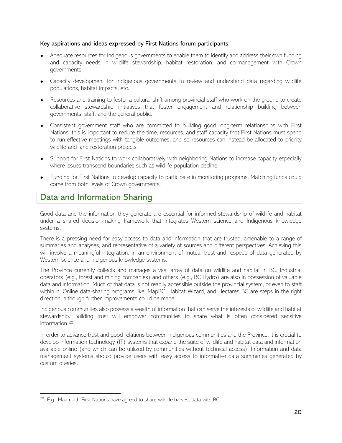#### Key aspirations and ideas expressed by First Nations forum participants:

- Adequate resources for Indigenous governments to enable them to identify and address their own funding and capacity needs in wildlife stewardship, habitat restoration, and co-management with Crown governments.
- Capacity development for Indigenous governments to review and understand data regarding wildlife populations, habitat impacts, etc.
- Resources and training to foster a cultural shift among provincial staff who work on the ground to create collaborative stewardship initiatives that foster engagement and relationship building between governments, staff, and the general public.
- Consistent government staff who are committed to building good long-term relationships with First Nations; this is important to reduce the time, resources, and staff capacity that First Nations must spend to run effective meetings with tangible outcomes, and so resources can instead be allocated to priority wildlife and land restoration projects.
- Support for First Nations to work collaboratively with neighboring Nations to increase capacity especially where issues transcend boundaries such as wildlife population decline.
- Funding for First Nations to develop capacity to participate in monitoring programs. Matching funds could come from both levels of Crown governments.

### <span id="page-20-0"></span>Data and Information Sharing

Good data and the information they generate are essential for informed stewardship of wildlife and habitat under a shared decision-making framework that integrates Western science and Indigenous knowledge systems.

There is a pressing need for easy access to data and information that are trusted, amenable to a range of summaries and analyses, and representative of a variety of sources and different perspectives. Achieving this will involve a meaningful integration, in an environment of mutual trust and respect, of data generated by Western science and Indigenous knowledge systems.

The Province currently collects and manages a vast array of data on wildlife and habitat in BC. Industrial operators (e.g., forest and mining companies) and others (e.g., BC Hydro) are also in possession of valuable data and information. Much of that data is not readily accessible outside the provincial system, or even to staff within it. Online data-sharing programs like iMapBC, Habitat Wizard, and Hectares BC are steps in the right direction, although further improvements could be made.

Indigenous communities also possess a wealth of information that can serve the interests of wildlife and habitat stewardship. Building trust will empower communities to share what is often considered sensitive information.[20](#page-20-1)

In order to advance trust and good relations between Indigenous communities and the Province, it is crucial to develop information technology (IT) systems that expand the suite of wildlife and habitat data and information available online (and which can be utilized by communities without technical access). Information and data management systems should provide users with easy access to informative data summaries generated by custom queries.

<span id="page-20-1"></span> $20$  E.g., Maa-nulth First Nations have agreed to share wildlife harvest data with BC.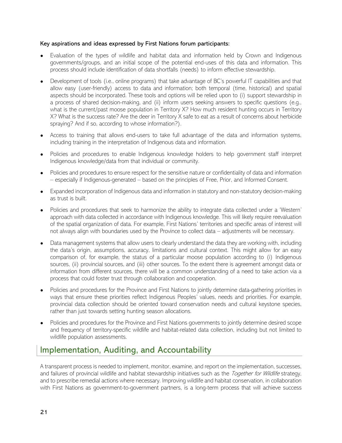#### Key aspirations and ideas expressed by First Nations forum participants:

- Evaluation of the types of wildlife and habitat data and information held by Crown and Indigenous governments/groups, and an initial scope of the potential end-uses of this data and information. This process should include identification of data shortfalls (needs) to inform effective stewardship.
- Development of tools (i.e., online programs) that take advantage of BC's powerful IT capabilities and that allow easy (user-friendly) access to data and information; both temporal (time, historical) and spatial aspects should be incorporated. These tools and options will be relied upon to (i) support stewardship in a process of shared decision-making, and (ii) inform users seeking answers to specific questions (e.g., what is the current/past moose population in Territory X? How much resident hunting occurs in Territory X? What is the success rate? Are the deer in Territory X safe to eat as a result of concerns about herbicide spraying? And if so, according to whose information?).
- Access to training that allows end-users to take full advantage of the data and information systems, including training in the interpretation of Indigenous data and information.
- Policies and procedures to enable Indigenous knowledge holders to help government staff interpret Indigenous knowledge/data from that individual or community.
- Policies and procedures to ensure respect for the sensitive nature or confidentiality of data and information – especially if Indigenous-generated – based on the principles of Free, Prior, and Informed Consent.
- Expanded incorporation of Indigenous data and information in statutory and non-statutory decision-making as trust is built.
- Policies and procedures that seek to harmonize the ability to integrate data collected under a 'Western' approach with data collected in accordance with Indigenous knowledge. This will likely require reevaluation of the spatial organization of data. For example, First Nations' territories and specific areas of interest will not always align with boundaries used by the Province to collect data – adjustments will be necessary.
- Data management systems that allow users to clearly understand the data they are working with, including the data's origin, assumptions, accuracy, limitations and cultural context. This might allow for an easy comparison of, for example, the status of a particular moose population according to (i) Indigenous sources, (ii) provincial sources, and (iii) other sources. To the extent there is agreement amongst data or information from different sources, there will be a common understanding of a need to take action via a process that could foster trust through collaboration and cooperation.
- Policies and procedures for the Province and First Nations to jointly determine data-gathering priorities in ways that ensure these priorities reflect Indigenous Peoples' values, needs and priorities. For example, provincial data collection should be oriented toward conservation needs and cultural keystone species, rather than just towards setting hunting season allocations.
- Policies and procedures for the Province and First Nations governments to jointly determine desired scope and frequency of territory-specific wildlife and habitat-related data collection, including but not limited to wildlife population assessments.

### <span id="page-21-0"></span>Implementation, Auditing, and Accountability

A transparent process is needed to implement, monitor, examine, and report on the implementation, successes, and failures of provincial wildlife and habitat stewardship initiatives such as the Together for Wildlife strategy, and to prescribe remedial actions where necessary. Improving wildlife and habitat conservation, in collaboration with First Nations as government-to-government partners, is a long-term process that will achieve success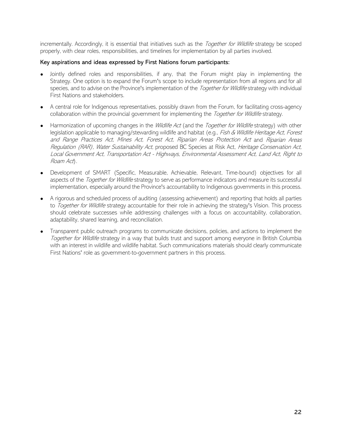incrementally. Accordingly, it is essential that initiatives such as the Together for Wildlife strategy be scoped properly, with clear roles, responsibilities, and timelines for implementation by all parties involved.

#### Key aspirations and ideas expressed by First Nations forum participants:

- Jointly defined roles and responsibilities, if any, that the Forum might play in implementing the Strategy. One option is to expand the Forum's scope to include representation from all regions and for all species, and to advise on the Province's implementation of the *Together for Wildlife* strategy with individual First Nations and stakeholders.
- A central role for Indigenous representatives, possibly drawn from the Forum, for facilitating cross-agency collaboration within the provincial government for implementing the Together for Wildlife strategy.
- Harmonization of upcoming changes in the Wildlife Act (and the Together for Wildlife strategy) with other legislation applicable to managing/stewarding wildlife and habitat (e.g., Fish & Wildlife Heritage Act, Forest and Range Practices Act, Mines Act, Forest Act, Riparian Areas Protection Act and Riparian Areas Regulation (RAR), Water Sustainability Act, proposed BC Species at Risk Act, Heritage Conservation Act, Local Government Act, Transportation Act - Highways, Environmental Assessment Act, Land Act, Right to Roam Act).
- Development of SMART (Specific, Measurable, Achievable, Relevant, Time-bound) objectives for all aspects of the Together for Wildlife strategy to serve as performance indicators and measure its successful implementation, especially around the Province's accountability to Indigenous governments in this process.
- A rigorous and scheduled process of auditing (assessing achievement) and reporting that holds all parties to Together for Wildlife strategy accountable for their role in achieving the strategy's Vision. This process should celebrate successes while addressing challenges with a focus on accountability, collaboration, adaptability, shared learning, and reconciliation.
- Transparent public outreach programs to communicate decisions, policies, and actions to implement the Together for Wildlife strategy in a way that builds trust and support among everyone in British Columbia with an interest in wildlife and wildlife habitat. Such communications materials should clearly communicate First Nations' role as government-to-government partners in this process.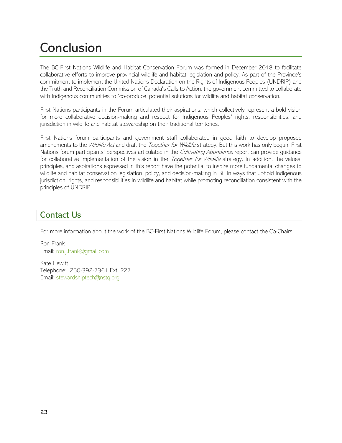# <span id="page-23-0"></span>Conclusion

The BC-First Nations Wildlife and Habitat Conservation Forum was formed in December 2018 to facilitate collaborative efforts to improve provincial wildlife and habitat legislation and policy. As part of the Province's commitment to implement the United Nations Declaration on the Rights of Indigenous Peoples (UNDRIP) and the Truth and Reconciliation Commission of Canada's Calls to Action, the government committed to collaborate with Indigenous communities to 'co-produce' potential solutions for wildlife and habitat conservation.

First Nations participants in the Forum articulated their aspirations, which collectively represent a bold vision for more collaborative decision-making and respect for Indigenous Peoples' rights, responsibilities, and jurisdiction in wildlife and habitat stewardship on their traditional territories.

First Nations forum participants and government staff collaborated in good faith to develop proposed amendments to the Wildlife Act and draft the Together for Wildlife strategy. But this work has only begun. First Nations forum participants' perspectives articulated in the Cultivating Abundance report can provide quidance for collaborative implementation of the vision in the Together for Wildlife strategy. In addition, the values, principles, and aspirations expressed in this report have the potential to inspire more fundamental changes to wildlife and habitat conservation legislation, policy, and decision-making in BC in ways that uphold Indigenous jurisdiction, rights, and responsibilities in wildlife and habitat while promoting reconciliation consistent with the principles of UNDRIP.

# <span id="page-23-1"></span>Contact Us

For more information about the work of the BC-First Nations Wildlife Forum, please contact the Co-Chairs:

Ron Frank Email: [ron.j.frank@gmail.com](mailto:ron.j.frank@gmail.com)

Kate Hewitt Telephone: 250-392-7361 Ext: 227 Email: [stewardshiptech@nstq.org](mailto:stewardshiptech@nstq.org)